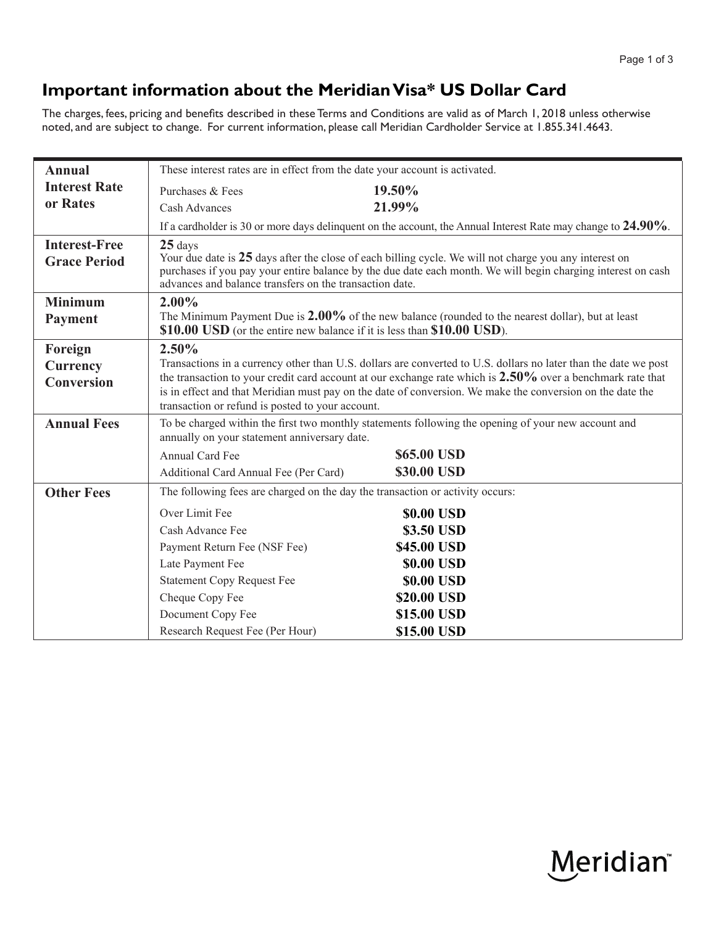## **Important information about the Meridian Visa\* US Dollar Card**

The charges, fees, pricing and benefits described in these Terms and Conditions are valid as of March 1, 2018 unless otherwise noted, and are subject to change. For current information, please call Meridian Cardholder Service at 1.855.341.4643.

| <b>Annual</b>        | These interest rates are in effect from the date your account is activated.                                                                                                                                                                                                       |             |
|----------------------|-----------------------------------------------------------------------------------------------------------------------------------------------------------------------------------------------------------------------------------------------------------------------------------|-------------|
| <b>Interest Rate</b> | Purchases & Fees                                                                                                                                                                                                                                                                  | 19.50%      |
| or Rates             | <b>Cash Advances</b>                                                                                                                                                                                                                                                              | 21.99%      |
|                      | If a cardholder is 30 or more days delinquent on the account, the Annual Interest Rate may change to 24.90%.                                                                                                                                                                      |             |
| <b>Interest-Free</b> | $25$ days                                                                                                                                                                                                                                                                         |             |
| <b>Grace Period</b>  | Your due date is 25 days after the close of each billing cycle. We will not charge you any interest on<br>purchases if you pay your entire balance by the due date each month. We will begin charging interest on cash<br>advances and balance transfers on the transaction date. |             |
| <b>Minimum</b>       | $2.00\%$                                                                                                                                                                                                                                                                          |             |
| <b>Payment</b>       | The Minimum Payment Due is 2.00% of the new balance (rounded to the nearest dollar), but at least<br>\$10.00 USD (or the entire new balance if it is less than \$10.00 USD).                                                                                                      |             |
| Foreign              | 2.50%                                                                                                                                                                                                                                                                             |             |
| Currency             | Transactions in a currency other than U.S. dollars are converted to U.S. dollars no later than the date we post                                                                                                                                                                   |             |
| <b>Conversion</b>    | the transaction to your credit card account at our exchange rate which is $2.50\%$ over a benchmark rate that<br>is in effect and that Meridian must pay on the date of conversion. We make the conversion on the date the                                                        |             |
|                      | transaction or refund is posted to your account.                                                                                                                                                                                                                                  |             |
| <b>Annual Fees</b>   | To be charged within the first two monthly statements following the opening of your new account and                                                                                                                                                                               |             |
|                      | annually on your statement anniversary date.                                                                                                                                                                                                                                      |             |
|                      | Annual Card Fee                                                                                                                                                                                                                                                                   | \$65.00 USD |
|                      | Additional Card Annual Fee (Per Card)                                                                                                                                                                                                                                             | \$30.00 USD |
| <b>Other Fees</b>    | The following fees are charged on the day the transaction or activity occurs:                                                                                                                                                                                                     |             |
|                      | Over Limit Fee                                                                                                                                                                                                                                                                    | \$0.00 USD  |
|                      | Cash Advance Fee                                                                                                                                                                                                                                                                  | \$3.50 USD  |
|                      | Payment Return Fee (NSF Fee)                                                                                                                                                                                                                                                      | \$45.00 USD |
|                      | Late Payment Fee                                                                                                                                                                                                                                                                  | \$0.00 USD  |
|                      | <b>Statement Copy Request Fee</b>                                                                                                                                                                                                                                                 | \$0.00 USD  |
|                      | Cheque Copy Fee                                                                                                                                                                                                                                                                   | \$20.00 USD |
|                      | Document Copy Fee                                                                                                                                                                                                                                                                 | \$15.00 USD |
|                      | Research Request Fee (Per Hour)                                                                                                                                                                                                                                                   | \$15.00 USD |

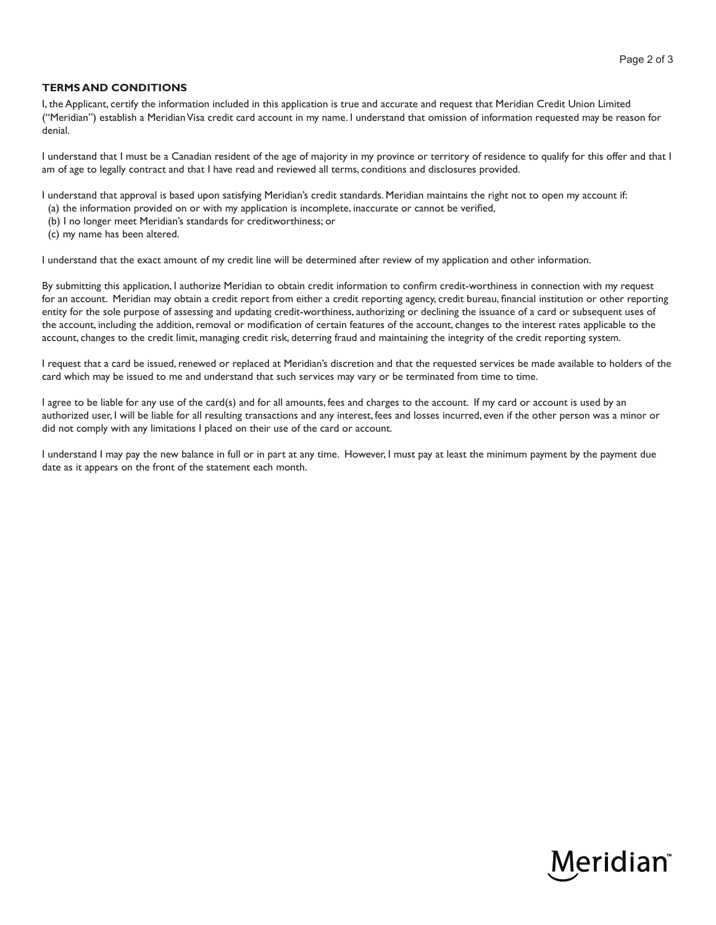## **TERMS AND CONDITIONS**

I, the Applicant, certify the information included in this application is true and accurate and request that Meridian Credit Union Limited ("Meridian") establish a Meridian Visa credit card account in my name. I understand that omission of information requested may be reason for denial.

I understand that I must be a Canadian resident of the age of majority in my province or territory of residence to qualify for this offer and that I am of age to legally contract and that I have read and reviewed all terms, conditions and disclosures provided.

I understand that approval is based upon satisfying Meridian's credit standards. Meridian maintains the right not to open my account if:

- (a) the information provided on or with my application is incomplete, inaccurate or cannot be verified,
- (b) I no longer meet Meridian's standards for creditworthiness; or
- (c) my name has been altered.

I understand that the exact amount of my credit line will be determined after review of my application and other information.

By submitting this application, I authorize Meridian to obtain credit information to confirm credit-worthiness in connection with my request for an account. Meridian may obtain a credit report from either a credit reporting agency, credit bureau, financial institution or other reporting entity for the sole purpose of assessing and updating credit-worthiness, authorizing or declining the issuance of a card or subsequent uses of the account, including the addition, removal or modification of certain features of the account, changes to the interest rates applicable to the account, changes to the credit limit, managing credit risk, deterring fraud and maintaining the integrity of the credit reporting system.

I request that a card be issued, renewed or replaced at Meridian's discretion and that the requested services be made available to holders of the card which may be issued to me and understand that such services may vary or be terminated from time to time.

I agree to be liable for any use of the card(s) and for all amounts, fees and charges to the account. If my card or account is used by an authorized user, I will be liable for all resulting transactions and any interest, fees and losses incurred, even if the other person was a minor or did not comply with any limitations I placed on their use of the card or account.

I understand I may pay the new balance in full or in part at any time. However, I must pay at least the minimum payment by the payment due date as it appears on the front of the statement each month.